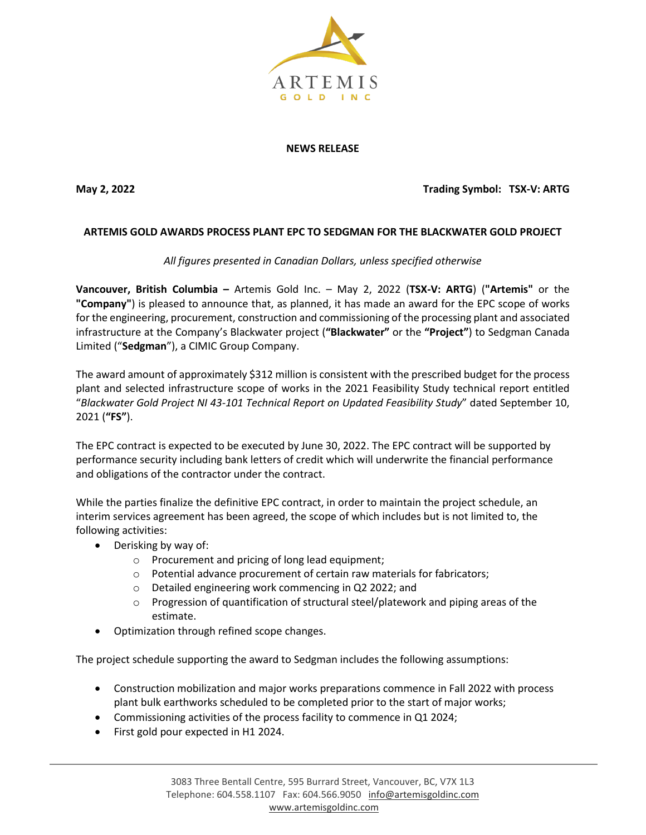

## **NEWS RELEASE**

**May 2, 2022 Trading Symbol: TSX-V: ARTG**

## **ARTEMIS GOLD AWARDS PROCESS PLANT EPC TO SEDGMAN FOR THE BLACKWATER GOLD PROJECT**

*All figures presented in Canadian Dollars, unless specified otherwise*

**Vancouver, British Columbia –** Artemis Gold Inc. – May 2, 2022 (**TSX-V: ARTG**) (**"Artemis"** or the **"Company"**) is pleased to announce that, as planned, it has made an award for the EPC scope of works for the engineering, procurement, construction and commissioning of the processing plant and associated infrastructure at the Company's Blackwater project (**"Blackwater"** or the **"Project"**) to Sedgman Canada Limited ("**Sedgman**"), a CIMIC Group Company.

The award amount of approximately \$312 million is consistent with the prescribed budget for the process plant and selected infrastructure scope of works in the 2021 Feasibility Study technical report entitled "*Blackwater Gold Project NI 43-101 Technical Report on Updated Feasibility Study*" dated September 10, 2021 (**"FS"**).

The EPC contract is expected to be executed by June 30, 2022. The EPC contract will be supported by performance security including bank letters of credit which will underwrite the financial performance and obligations of the contractor under the contract.

While the parties finalize the definitive EPC contract, in order to maintain the project schedule, an interim services agreement has been agreed, the scope of which includes but is not limited to, the following activities:

- Derisking by way of:
	- o Procurement and pricing of long lead equipment;
	- o Potential advance procurement of certain raw materials for fabricators;
	- o Detailed engineering work commencing in Q2 2022; and
	- $\circ$  Progression of quantification of structural steel/platework and piping areas of the estimate.
- Optimization through refined scope changes.

The project schedule supporting the award to Sedgman includes the following assumptions:

- Construction mobilization and major works preparations commence in Fall 2022 with process plant bulk earthworks scheduled to be completed prior to the start of major works;
- Commissioning activities of the process facility to commence in Q1 2024;
- First gold pour expected in H1 2024.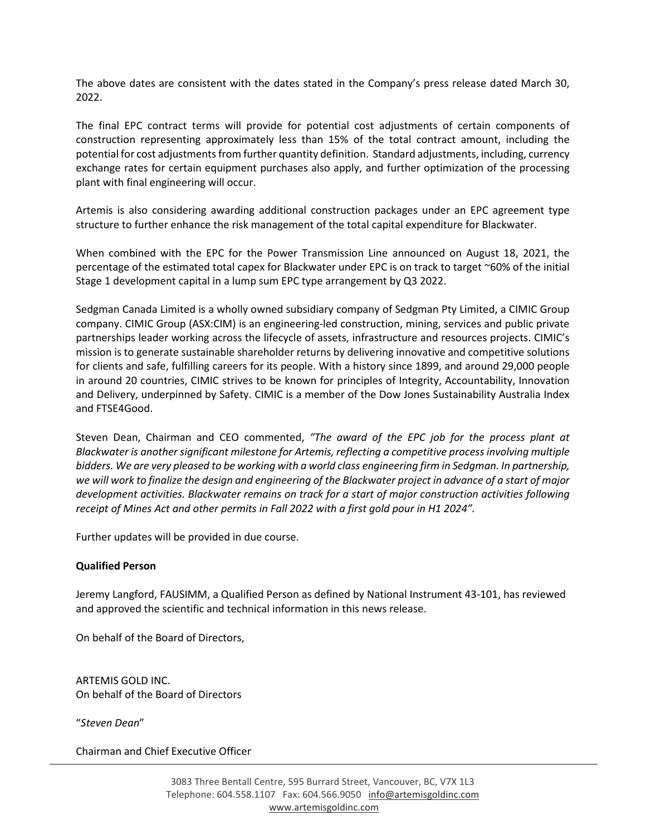The above dates are consistent with the dates stated in the Company's press release dated March 30, 2022.

The final EPC contract terms will provide for potential cost adjustments of certain components of construction representing approximately less than 15% of the total contract amount, including the potential for cost adjustments from further quantity definition. Standard adjustments, including, currency exchange rates for certain equipment purchases also apply, and further optimization of the processing plant with final engineering will occur.

Artemis is also considering awarding additional construction packages under an EPC agreement type structure to further enhance the risk management of the total capital expenditure for Blackwater.

When combined with the EPC for the Power Transmission Line announced on August 18, 2021, the percentage of the estimated total capex for Blackwater under EPC is on track to target ~60% of the initial Stage 1 development capital in a lump sum EPC type arrangement by Q3 2022.

Sedgman Canada Limited is a wholly owned subsidiary company of Sedgman Pty Limited, a CIMIC Group company. CIMIC Group (ASX:CIM) is an engineering-led construction, mining, services and public private partnerships leader working across the lifecycle of assets, infrastructure and resources projects. CIMIC's mission is to generate sustainable shareholder returns by delivering innovative and competitive solutions for clients and safe, fulfilling careers for its people. With a history since 1899, and around 29,000 people in around 20 countries, CIMIC strives to be known for principles of Integrity, Accountability, Innovation and Delivery, underpinned by Safety. CIMIC is a member of the Dow Jones Sustainability Australia Index and FTSE4Good.

Steven Dean, Chairman and CEO commented, *"The award of the EPC job for the process plant at Blackwater is another significant milestone for Artemis, reflecting a competitive processinvolving multiple bidders. We are very pleased to be working with a world class engineering firm in Sedgman. In partnership, we will work to finalize the design and engineering of the Blackwater project in advance of a start of major development activities. Blackwater remains on track for a start of major construction activities following receipt of Mines Act and other permits in Fall 2022 with a first gold pour in H1 2024".*

Further updates will be provided in due course.

## **Qualified Person**

Jeremy Langford, FAUSIMM, a Qualified Person as defined by National Instrument 43-101, has reviewed and approved the scientific and technical information in this news release.

On behalf of the Board of Directors,

ARTEMIS GOLD INC. On behalf of the Board of Directors

"*Steven Dean*"

Chairman and Chief Executive Officer